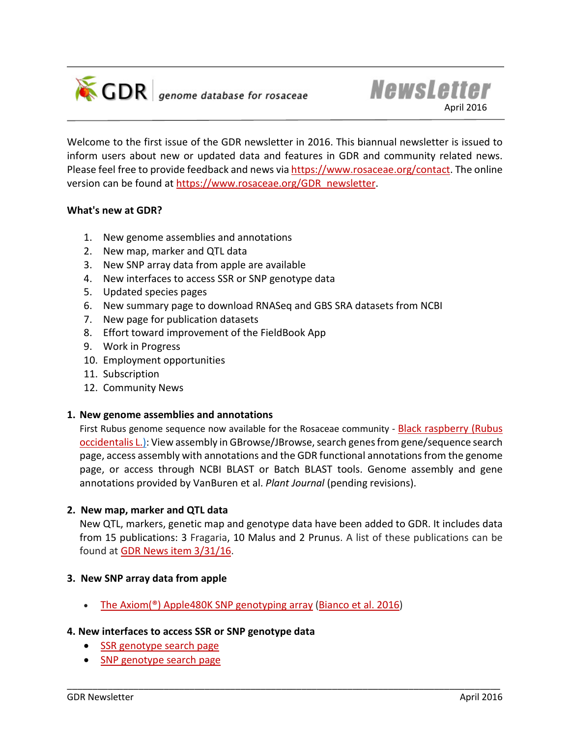

**GDR** genome database for rosaceae

Welcome to the first issue of the GDR newsletter in 2016. This biannual newsletter is issued to inform users about new or updated data and features in GDR and community related news. Please feel free to provide feedback and news via [https://www.rosaceae.org/contact.](https://www.rosaceae.org/contact) The online version can be found at [https://www.rosaceae.org/GDR\\_newsletter.](https://www.rosaceae.org/GDR_newsletter)

## **What's new at GDR?**

- 1. New genome assemblies and annotations
- 2. New map, marker and QTL data
- 3. New SNP array data from apple are available
- 4. New interfaces to access SSR or SNP genotype data
- 5. Updated species pages
- 6. New summary page to download RNASeq and GBS SRA datasets from NCBI
- 7. New page for publication datasets
- 8. Effort toward improvement of the FieldBook App
- 9. Work in Progress
- 10. Employment opportunities
- 11. Subscription
- 12. Community News

## **1. New genome assemblies and annotations**

First Rubus genome sequence now available for the Rosaceae community - Black raspberry (Rubus [occidentalis L.\):](https://www.rosaceae.org/species/rubus_occidentalis/genome_v1.0.a1) View assembly in GBrowse/JBrowse, search genes from gene/sequence search page, access assembly with annotations and the GDR functional annotations from the genome page, or access through NCBI BLAST or Batch BLAST tools. Genome assembly and gene annotations provided by VanBuren et al. *Plant Journal* (pending revisions).

## **2. New map, marker and QTL data**

New QTL, markers, genetic map and genotype data have been added to GDR. It includes data from 15 publications: 3 Fragaria, 10 Malus and 2 Prunus. A list of these publications can be found a[t GDR News item](https://www.rosaceae.org/node/4805812) 3/31/16.

\_\_\_\_\_\_\_\_\_\_\_\_\_\_\_\_\_\_\_\_\_\_\_\_\_\_\_\_\_\_\_\_\_\_\_\_\_\_\_\_\_\_\_\_\_\_\_\_\_\_\_\_\_\_\_\_\_\_\_\_\_\_\_\_\_\_\_\_\_\_\_\_\_\_\_\_\_\_\_\_\_\_\_\_\_

## **3. New SNP array data from apple**

• [The Axiom\(®\) Apple480K SNP genotyping array](https://www.rosaceae.org/node/4804987) [\(Bianco et al. 2016\)](https://www.rosaceae.org/pub/11589)

## **4. New interfaces to access SSR or SNP genotype data**

- [SSR genotype search page](https://www.rosaceae.org/search/ssr_genotype)
- [SNP genotype search page](https://www.rosaceae.org/search/snp_genotype)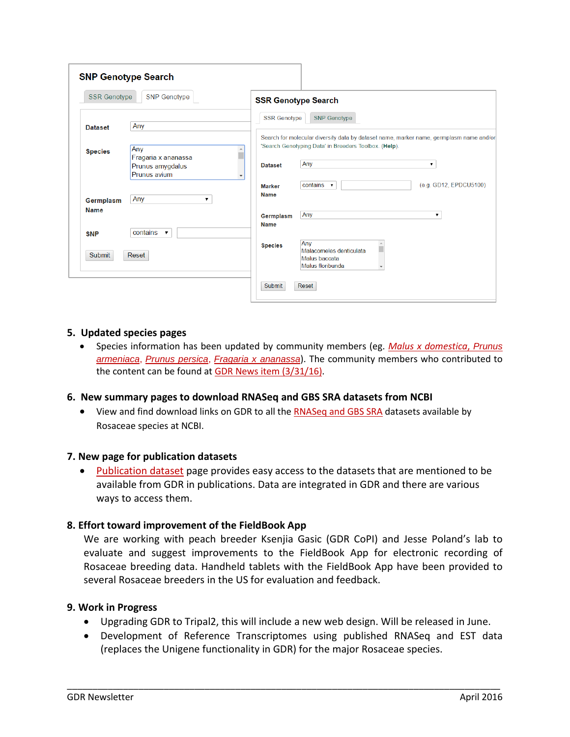| <b>SSR Genotype</b> | <b>SNP Genotype</b>              |                                            | <b>SSR Genotype Search</b>                                                                      |                        |
|---------------------|----------------------------------|--------------------------------------------|-------------------------------------------------------------------------------------------------|------------------------|
|                     |                                  | <b>SSR Genotype</b>                        | <b>SNP</b> Genotype                                                                             |                        |
| <b>Dataset</b>      | Any                              |                                            | Search for molecular diversity data by dataset name, marker name, germplasm name and/or         |                        |
| <b>Species</b>      | Any<br>Fragaria x ananassa       |                                            | 'Search Genotyping Data' in Breeders Toolbox. (Help).                                           |                        |
|                     | Prunus amygdalus<br>Prunus avium | <b>Dataset</b><br>$\overline{\phantom{a}}$ | Any                                                                                             | $\mathbf{v}$           |
|                     |                                  | <b>Marker</b>                              | contains $\mathbf{\mathsf{v}}$                                                                  | (e.g. GD12, EPDCU5100) |
| Germplasm           | Any<br>▼                         | <b>Name</b>                                |                                                                                                 |                        |
| <b>Name</b>         |                                  | Germplasm                                  | Any                                                                                             | $\mathbf{v}$           |
| <b>SNP</b>          | contains $\mathbf{\mathsf{v}}$   | <b>Name</b>                                |                                                                                                 |                        |
| Submit              | Reset                            | <b>Species</b>                             | Anv<br>Malacomeles denticulata<br>Malus baccata<br>Malus floribunda<br>$\overline{\phantom{a}}$ |                        |

### **5. Updated species pages**

• Species information has been updated by community members (eg. *[Malus x domestica](https://www.rosaceae.org/species/malus/malus_x_domestica)*, *[Prunus](https://www.rosaceae.org/species/prunus/prunus_armeniaca)  [armeniaca](https://www.rosaceae.org/species/prunus/prunus_armeniaca)*, *[Prunus persica](https://www.rosaceae.org/species/prunus/prunus_persica)*, *[Fragaria x ananassa](https://www.rosaceae.org/species/fragaria/fragaria_x_ananassa)*). The community members who contributed to the content can be found a[t GDR News item \(3/31/16\).](https://www.rosaceae.org/node/4805810)

#### **6. New summary pages to download RNASeq and GBS SRA datasets from NCBI**

• View and find download links on GDR to all th[e RNASeq and GBS SRA](https://www.rosaceae.org/data/download) datasets available by Rosaceae species at NCBI.

#### **7. New page for publication datasets**

[Publication dataset](https://www.rosaceae.org/publication_datasets) page provides easy access to the datasets that are mentioned to be available from GDR in publications. Data are integrated in GDR and there are various ways to access them.

## **8. Effort toward improvement of the FieldBook App**

We are working with peach breeder Ksenjia Gasic (GDR CoPI) and Jesse Poland's lab to evaluate and suggest improvements to the FieldBook App for electronic recording of Rosaceae breeding data. Handheld tablets with the FieldBook App have been provided to several Rosaceae breeders in the US for evaluation and feedback.

#### **9. Work in Progress**

• Upgrading GDR to Tripal2, this will include a new web design. Will be released in June.

\_\_\_\_\_\_\_\_\_\_\_\_\_\_\_\_\_\_\_\_\_\_\_\_\_\_\_\_\_\_\_\_\_\_\_\_\_\_\_\_\_\_\_\_\_\_\_\_\_\_\_\_\_\_\_\_\_\_\_\_\_\_\_\_\_\_\_\_\_\_\_\_\_\_\_\_\_\_\_\_\_\_\_\_\_

• Development of Reference Transcriptomes using published RNASeq and EST data (replaces the Unigene functionality in GDR) for the major Rosaceae species.